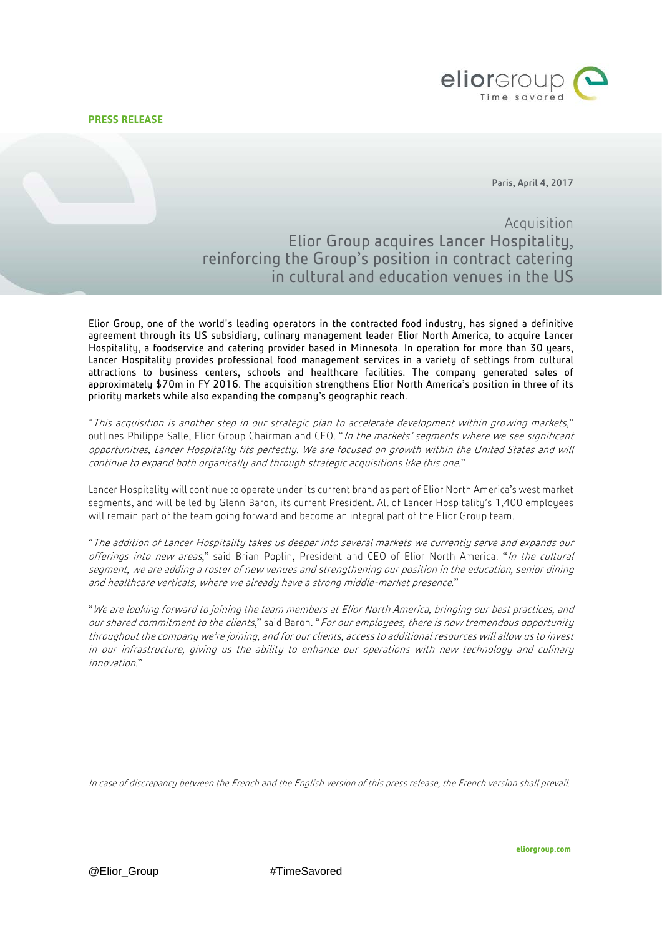**PRESS RELEASE**



Paris, April 4, 2017

# Acquisition Elior Group acquires Lancer Hospitality, reinforcing the Group's position in contract catering in cultural and education venues in the US

Elior Group, one of the world's leading operators in the contracted food industry, has signed a definitive agreement through its US subsidiary, culinary management leader Elior North America, to acquire Lancer Hospitality, a foodservice and catering provider based in Minnesota. In operation for more than 30 years, Lancer Hospitality provides professional food management services in a variety of settings from cultural attractions to business centers, schools and healthcare facilities. The company generated sales of approximately \$70m in FY 2016. The acquisition strengthens Elior North America's position in three of its priority markets while also expanding the company's geographic reach.

"This acquisition is another step in our strategic plan to accelerate development within growing markets," outlines Philippe Salle, Elior Group Chairman and CEO. "In the markets' segments where we see significant opportunities, Lancer Hospitality fits perfectly. We are focused on growth within the United States and will continue to expand both organically and through strategic acquisitions like this one."

Lancer Hospitality will continue to operate under its current brand as part of Elior North America's west market segments, and will be led by Glenn Baron, its current President. All of Lancer Hospitality's 1,400 employees will remain part of the team going forward and become an integral part of the Elior Group team.

"The addition of Lancer Hospitality takes us deeper into several markets we currently serve and expands our offerings into new areas," said Brian Poplin, President and CEO of Elior North America. "In the cultural segment, we are adding a roster of new venues and strengthening our position in the education, senior dining and healthcare verticals, where we already have a strong middle-market presence."

"We are looking forward to joining the team members at Elior North America, bringing our best practices, and our shared commitment to the clients," said Baron. "For our employees, there is now tremendous opportunity throughout the company we're joining, and for our clients, access to additional resources will allow us to invest in our infrastructure, giving us the ability to enhance our operations with new technology and culinary innovation."

In case of discrepancy between the French and the English version of this press release, the French version shall prevail.